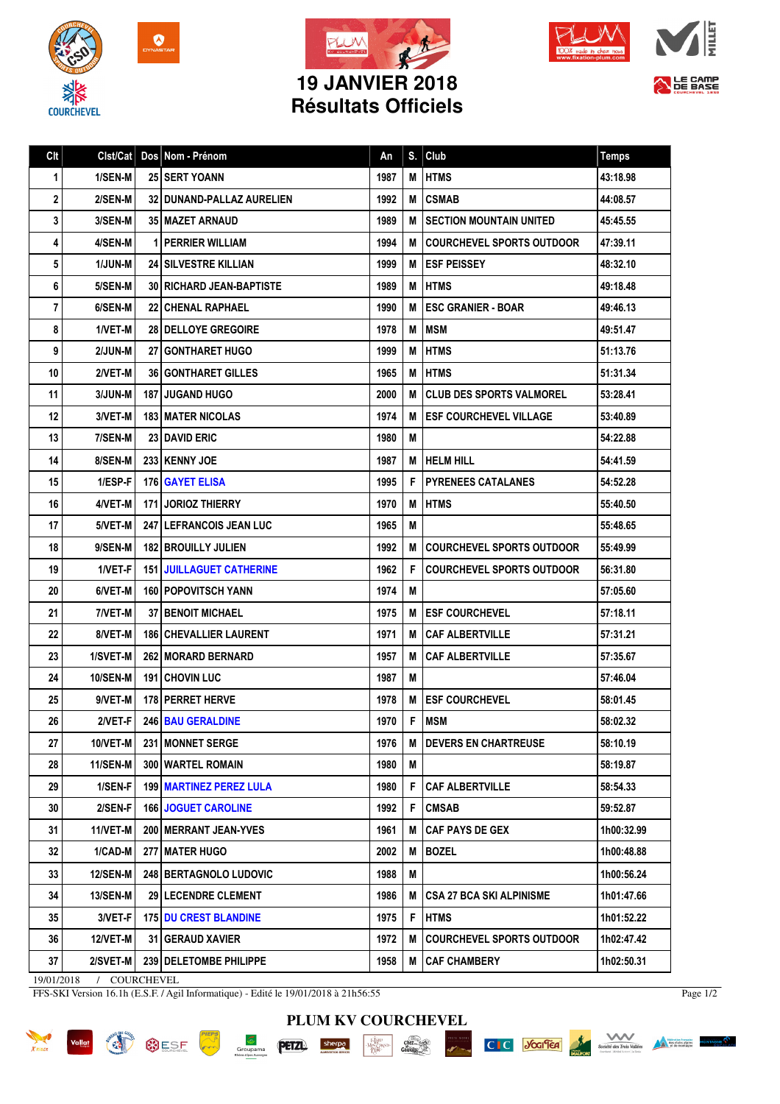







LE CAMP

## **19 JANVIER 2018 Résultats Officiels**

| <b>HTMS</b><br>1/SEN-M<br><b>25 SERT YOANN</b><br>1987<br>43:18.98<br>1<br>M<br>2<br>32   DUNAND-PALLAZ AURELIEN<br>1992<br><b>CSMAB</b><br>2/SEN-M<br>м<br>44:08.57<br>3<br>3/SEN-M<br><b>35 MAZET ARNAUD</b><br>1989<br>M<br>I SECTION MOUNTAIN UNITED<br>45:45.55<br>4/SEN-M<br><b>1 PERRIER WILLIAM</b><br>1994<br><b>COURCHEVEL SPORTS OUTDOOR</b><br>47:39.11<br>4<br>М |  |
|-------------------------------------------------------------------------------------------------------------------------------------------------------------------------------------------------------------------------------------------------------------------------------------------------------------------------------------------------------------------------------|--|
|                                                                                                                                                                                                                                                                                                                                                                               |  |
|                                                                                                                                                                                                                                                                                                                                                                               |  |
|                                                                                                                                                                                                                                                                                                                                                                               |  |
|                                                                                                                                                                                                                                                                                                                                                                               |  |
| 5<br>1/JUN-M<br><b>24 SILVESTRE KILLIAN</b><br>1999<br><b>I ESF PEISSEY</b><br>M<br>48:32.10                                                                                                                                                                                                                                                                                  |  |
| 1989<br>6<br>5/SEN-M<br><b>30   RICHARD JEAN-BAPTISTE</b><br>M<br><b>IHTMS</b><br>49:18.48                                                                                                                                                                                                                                                                                    |  |
| 1990<br>М<br><b>I ESC GRANIER - BOAR</b><br>7<br>6/SEN-M<br><b>22 CHENAL RAPHAEL</b><br>49:46.13                                                                                                                                                                                                                                                                              |  |
| 8<br>1/VET-M<br>1978<br><b>MSM</b><br><b>28   DELLOYE GREGOIRE</b><br>М<br>49:51.47                                                                                                                                                                                                                                                                                           |  |
| 9<br>2/JUN-M<br><b>27 GONTHARET HUGO</b><br>1999<br>M<br><b>HTMS</b><br>51:13.76                                                                                                                                                                                                                                                                                              |  |
| 10<br>1965<br><b>HTMS</b><br>2/VET-M<br><b>36   GONTHARET GILLES</b><br>M<br>51:31.34                                                                                                                                                                                                                                                                                         |  |
| 11<br>3/JUN-M<br><b>187 JUGAND HUGO</b><br>2000<br>М<br>I CLUB DES SPORTS VALMOREL<br>53:28.41                                                                                                                                                                                                                                                                                |  |
| 12<br>3/VET-M<br>1974<br><b>ESF COURCHEVEL VILLAGE</b><br><b>183 MATER NICOLAS</b><br>м<br>53:40.89                                                                                                                                                                                                                                                                           |  |
| 13<br>7/SEN-M<br>23 DAVID ERIC<br>1980<br>M<br>54:22.88                                                                                                                                                                                                                                                                                                                       |  |
| 14<br>8/SEN-M<br>233 KENNY JOE<br>1987<br>I HELM HILL<br>54:41.59<br>M                                                                                                                                                                                                                                                                                                        |  |
| 15<br>1/ESP-F<br>1995<br>F<br><b>PYRENEES CATALANES</b><br>176 GAYET ELISA<br>54:52.28                                                                                                                                                                                                                                                                                        |  |
| 16<br>4/VET-M<br><b>171 JORIOZ THIERRY</b><br>1970<br><b>HTMS</b><br>M<br>55:40.50                                                                                                                                                                                                                                                                                            |  |
| 17<br>5/VET-M<br>247 LEFRANCOIS JEAN LUC<br>1965<br>55:48.65<br>M                                                                                                                                                                                                                                                                                                             |  |
| 18<br>9/SEN-M<br><b>182 BROUILLY JULIEN</b><br>1992<br><b>COURCHEVEL SPORTS OUTDOOR</b><br>55:49.99<br>M                                                                                                                                                                                                                                                                      |  |
| 19<br>1962<br>F<br><b>COURCHEVEL SPORTS OUTDOOR</b><br>1/VET-F<br><b>151 I JUILLAGUET CATHERINE</b><br>56:31.80                                                                                                                                                                                                                                                               |  |
| 20<br>6/VET-M<br>160 POPOVITSCH YANN<br>1974<br>M<br>57:05.60                                                                                                                                                                                                                                                                                                                 |  |
| 21<br>7/VET-M<br>1975<br><b>37 I BENOIT MICHAEL</b><br>М<br><b> ESF COURCHEVEL</b><br>57:18.11                                                                                                                                                                                                                                                                                |  |
| 22<br>8/VET-M<br><b>186 CHEVALLIER LAURENT</b><br>1971<br>M<br><b>CAF ALBERTVILLE</b><br>57:31.21                                                                                                                                                                                                                                                                             |  |
| 23<br>1/SVET-M<br><b>262 MORARD BERNARD</b><br>1957<br>М<br><b>CAF ALBERTVILLE</b><br>57:35.67                                                                                                                                                                                                                                                                                |  |
| 24<br><b>10/SEN-M</b><br><b>191 CHOVIN LUC</b><br>1987<br>М<br>57:46.04                                                                                                                                                                                                                                                                                                       |  |
| 25<br>1978<br><b>ESF COURCHEVEL</b><br>9/VET-M<br>178 PERRET HERVE<br>M<br>58:01.45                                                                                                                                                                                                                                                                                           |  |
| F<br>2/VET-F<br>246 BAU GERALDINE<br>1970<br><b>MSM</b><br>26<br>58:02.32                                                                                                                                                                                                                                                                                                     |  |
| 27<br>10/VET-M<br>231 MONNET SERGE<br>1976<br><b>DEVERS EN CHARTREUSE</b><br>58:10.19<br>М                                                                                                                                                                                                                                                                                    |  |
| 28<br>300 WARTEL ROMAIN<br>1980<br>58:19.87<br>11/SEN-M<br>Μ                                                                                                                                                                                                                                                                                                                  |  |
| 29<br>1/SEN-F<br>F<br><b>199   MARTINEZ PEREZ LULA</b><br>1980<br><b>CAF ALBERTVILLE</b><br>58:54.33                                                                                                                                                                                                                                                                          |  |
| 30<br>2/SEN-F<br>1992<br>F<br><b>166 JOGUET CAROLINE</b><br><b>CMSAB</b><br>59:52.87                                                                                                                                                                                                                                                                                          |  |
| 11/VET-M<br>200 IMERRANT JEAN-YVES<br><b>CAF PAYS DE GEX</b><br>31<br>1961<br>1h00:32.99<br>M                                                                                                                                                                                                                                                                                 |  |
| <b>BOZEL</b><br>32<br>1/CAD-M<br>277   MATER HUGO<br>2002<br>M<br>1h00:48.88                                                                                                                                                                                                                                                                                                  |  |
| 33<br><b>12/SEN-M</b><br>248 BERTAGNOLO LUDOVIC<br>1988<br>1h00:56.24<br>Μ                                                                                                                                                                                                                                                                                                    |  |
| 34<br><b>13/SEN-M</b><br>1986<br><b>CSA 27 BCA SKI ALPINISME</b><br>1h01:47.66<br><b>29   LECENDRE CLEMENT</b><br>M                                                                                                                                                                                                                                                           |  |
| 3/VET-F<br>35<br><b>175 DU CREST BLANDINE</b><br>1975<br>F<br><b>HTMS</b><br>1h01:52.22                                                                                                                                                                                                                                                                                       |  |
| 36<br>12/VET-M<br>31 GERAUD XAVIER<br>1972<br><b>COURCHEVEL SPORTS OUTDOOR</b><br>1h02:47.42<br>M                                                                                                                                                                                                                                                                             |  |
| 37<br>2/SVET-M<br>239 DELETOMBE PHILIPPE<br>1958<br>M<br><b>CAF CHAMBERY</b><br>1h02:50.31                                                                                                                                                                                                                                                                                    |  |

19/01/2018 / COURCHEVEL

FFS-SKI Version 16.1h (E.S.F. / Agil Informatique) - Edité le 19/01/2018 à 21h56:55

 $G_{\text{row}}$ 

Page 1/2